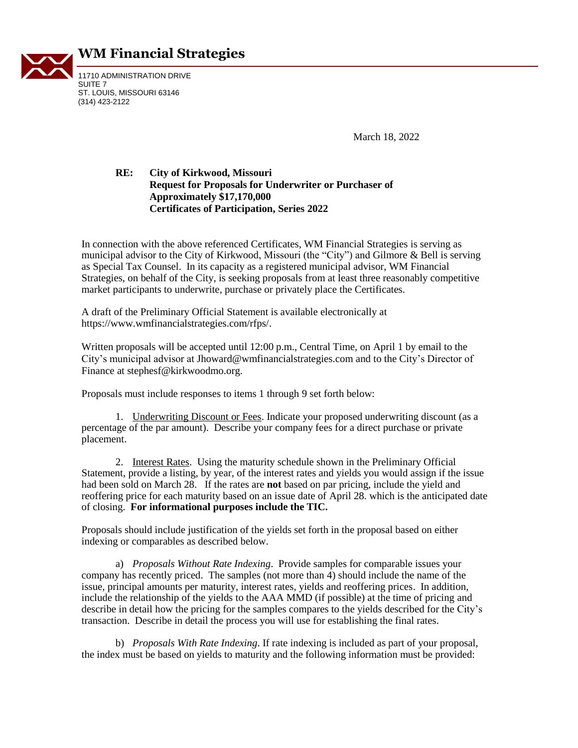

## **WM Financial Strategies**

11710 ADMINISTRATION DRIVE SUITE 7 ST. LOUIS, MISSOURI 63146 (314) 423-2122

March 18, 2022

## **RE: City of Kirkwood, Missouri Request for Proposals for Underwriter or Purchaser of Approximately \$17,170,000 Certificates of Participation, Series 2022**

In connection with the above referenced Certificates, WM Financial Strategies is serving as municipal advisor to the City of Kirkwood, Missouri (the "City") and Gilmore & Bell is serving as Special Tax Counsel. In its capacity as a registered municipal advisor, WM Financial Strategies, on behalf of the City, is seeking proposals from at least three reasonably competitive market participants to underwrite, purchase or privately place the Certificates.

A draft of the Preliminary Official Statement is available electronically at https://www.wmfinancialstrategies.com/rfps/.

Written proposals will be accepted until 12:00 p.m., Central Time, on April 1 by email to the City's municipal advisor at [Jhoward@wmfinancialstrategies.com](mailto:Jhoward@wmfinancialstrategies.com) and to the City's Director of Finance at stephesf@kirkwoodmo.org.

Proposals must include responses to items 1 through 9 set forth below:

1. Underwriting Discount or Fees. Indicate your proposed underwriting discount (as a percentage of the par amount). Describe your company fees for a direct purchase or private placement.

2. Interest Rates. Using the maturity schedule shown in the Preliminary Official Statement, provide a listing, by year, of the interest rates and yields you would assign if the issue had been sold on March 28. If the rates are **not** based on par pricing, include the yield and reoffering price for each maturity based on an issue date of April 28. which is the anticipated date of closing. **For informational purposes include the TIC.**

Proposals should include justification of the yields set forth in the proposal based on either indexing or comparables as described below.

a) *Proposals Without Rate Indexing*. Provide samples for comparable issues your company has recently priced. The samples (not more than 4) should include the name of the issue, principal amounts per maturity, interest rates, yields and reoffering prices. In addition, include the relationship of the yields to the AAA MMD (if possible) at the time of pricing and describe in detail how the pricing for the samples compares to the yields described for the City's transaction. Describe in detail the process you will use for establishing the final rates.

b) *Proposals With Rate Indexing*. If rate indexing is included as part of your proposal, the index must be based on yields to maturity and the following information must be provided: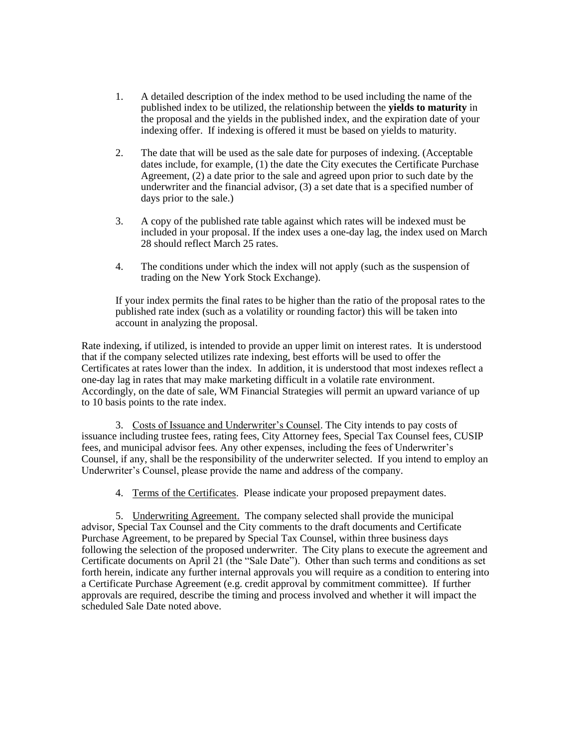- 1. A detailed description of the index method to be used including the name of the published index to be utilized, the relationship between the **yields to maturity** in the proposal and the yields in the published index, and the expiration date of your indexing offer. If indexing is offered it must be based on yields to maturity.
- 2. The date that will be used as the sale date for purposes of indexing. (Acceptable dates include, for example, (1) the date the City executes the Certificate Purchase Agreement, (2) a date prior to the sale and agreed upon prior to such date by the underwriter and the financial advisor, (3) a set date that is a specified number of days prior to the sale.)
- 3. A copy of the published rate table against which rates will be indexed must be included in your proposal. If the index uses a one-day lag, the index used on March 28 should reflect March 25 rates.
- 4. The conditions under which the index will not apply (such as the suspension of trading on the New York Stock Exchange).

If your index permits the final rates to be higher than the ratio of the proposal rates to the published rate index (such as a volatility or rounding factor) this will be taken into account in analyzing the proposal.

Rate indexing, if utilized, is intended to provide an upper limit on interest rates. It is understood that if the company selected utilizes rate indexing, best efforts will be used to offer the Certificates at rates lower than the index. In addition, it is understood that most indexes reflect a one-day lag in rates that may make marketing difficult in a volatile rate environment. Accordingly, on the date of sale, WM Financial Strategies will permit an upward variance of up to 10 basis points to the rate index.

3. Costs of Issuance and Underwriter's Counsel. The City intends to pay costs of issuance including trustee fees*,* rating fees, City Attorney fees, Special Tax Counsel fees, CUSIP fees, and municipal advisor fees. Any other expenses, including the fees of Underwriter's Counsel, if any, shall be the responsibility of the underwriter selected. If you intend to employ an Underwriter's Counsel, please provide the name and address of the company.

4. Terms of the Certificates. Please indicate your proposed prepayment dates.

5. Underwriting Agreement. The company selected shall provide the municipal advisor, Special Tax Counsel and the City comments to the draft documents and Certificate Purchase Agreement, to be prepared by Special Tax Counsel, within three business days following the selection of the proposed underwriter. The City plans to execute the agreement and Certificate documents on April 21 (the "Sale Date"). Other than such terms and conditions as set forth herein, indicate any further internal approvals you will require as a condition to entering into a Certificate Purchase Agreement (e.g. credit approval by commitment committee). If further approvals are required, describe the timing and process involved and whether it will impact the scheduled Sale Date noted above.